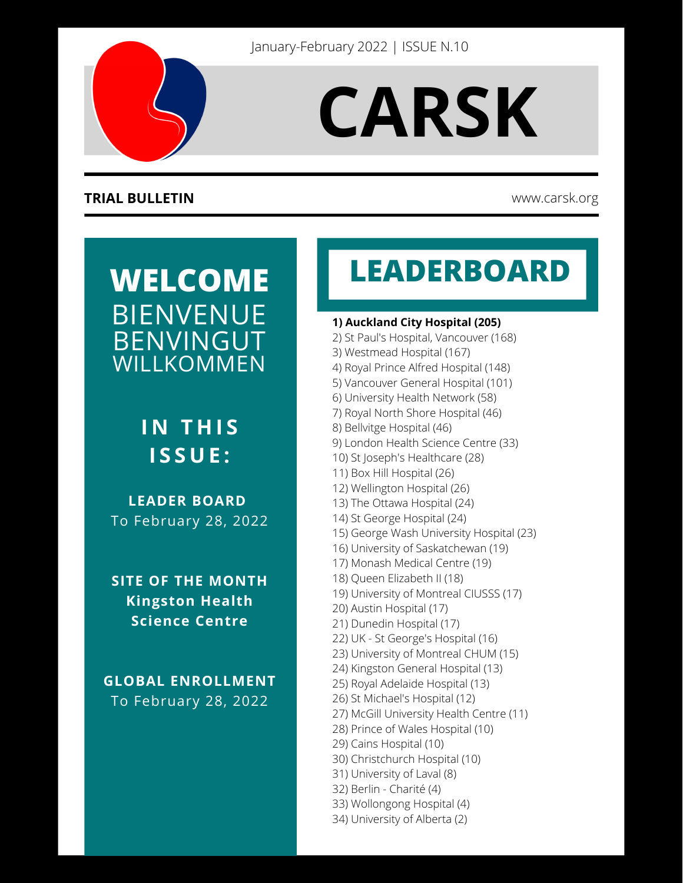

# **CARSK**

#### **TRIAL BULLETIN** www.carsk.org

## **WELCOME** BIENVENUE BENVINGUT WILLKOMMEN

### **I N T H I S I S S U E :**

**LEADER BOARD** To February 28, 2022

**SITE OF THE MONTH Kingston Health Science Centre**

**GLOBAL ENROLLMENT** To February 28, 2022

# **LEADERBOARD**

#### **1) Auckland City Hospital (205)**

- 2) St Paul's Hospital, Vancouver (168)
- 3) Westmead Hospital (167)
- 4) Royal Prince Alfred Hospital (148)
- 5) Vancouver General Hospital (101)
- 6) University Health Network (58)
- 7) Royal North Shore Hospital (46)
- 8) Bellvitge Hospital (46)
- 9) London Health Science Centre (33)
- 10) St Joseph's Healthcare (28)
- 11) Box Hill Hospital (26)
- 12) Wellington Hospital (26)
- 13) The Ottawa Hospital (24)
- 14) St George Hospital (24)
- 15) George Wash University Hospital (23)
- 16) University of Saskatchewan (19)
- 17) Monash Medical Centre (19)
- 18) Queen Elizabeth II (18)
- 19) University of Montreal CIUSSS (17)
- 20) Austin Hospital (17)
- 21) Dunedin Hospital (17)
- 22) UK St George's Hospital (16)
- 23) University of Montreal CHUM (15)
- 24) Kingston General Hospital (13)
- 25) Royal Adelaide Hospital (13)
- 26) St Michael's Hospital (12)
- 27) McGill University Health Centre (11)
- 28) Prince of Wales Hospital (10)
- 29) Cains Hospital (10)
- 30) Christchurch Hospital (10)
- 31) University of Laval (8)
- 32) Berlin Charité (4)
- 33) Wollongong Hospital (4)
- 34) University of Alberta (2)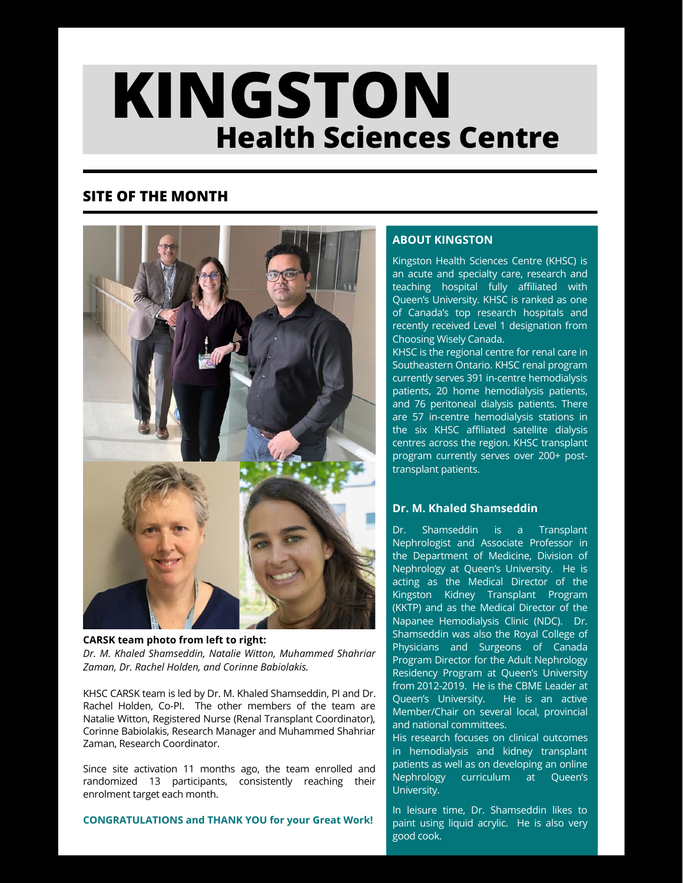# **N**<br>•••• Comtus **THE Health Sciences Centre KINGSTON**

#### **SITE OF THE MONTH**



**CARSK team photo from left to right:** *Dr. M. Khaled Shamseddin, Natalie Witton, Muhammed Shahriar Zaman, Dr. Rachel Holden, and Corinne Babiolakis.*

KHSC CARSK team is led by Dr. M. Khaled Shamseddin, PI and Dr. Rachel Holden, Co-PI. The other members of the team are Natalie Witton, Registered Nurse (Renal Transplant Coordinator), Corinne Babiolakis, Research Manager and Muhammed Shahriar Zaman, Research Coordinator.

Since site activation 11 months ago, the team enrolled and randomized 13 participants, consistently reaching their enrolment target each month.

**CONGRATULATIONS and THANK YOU for your Great Work!**

#### **ABOUT KINGSTON**

Kingston Health Sciences Centre (KHSC) is an acute and specialty care, research and teaching hospital fully affiliated with Queen's University. KHSC is ranked as one of Canada's top research hospitals and recently received Level 1 designation from Choosing Wisely Canada.

**MONTH** 

KHSC is the regional centre for renal care in Southeastern Ontario. KHSC renal program currently serves 391 in-centre hemodialysis patients, 20 home hemodialysis patients, and 76 peritoneal dialysis patients. There are 57 in-centre hemodialysis stations in the six KHSC affiliated satellite dialysis centres across the region. KHSC transplant program currently serves over 200+ posttransplant patients.

#### **Dr. M. Khaled Shamseddin**

Dr. Shamseddin is a Transplant Nephrologist and Associate Professor in the Department of Medicine, Division of Nephrology at Queen's University. He is acting as the Medical Director of the Kingston Kidney Transplant Program (KKTP) and as the Medical Director of the Napanee Hemodialysis Clinic (NDC). Dr. Shamseddin was also the Royal College of Physicians and Surgeons of Canada Program Director for the Adult Nephrology Residency Program at Queen's University from 2012-2019. He is the CBME Leader at Queen's University. He is an active Member/Chair on several local, provincial and national committees.

His research focuses on clinical outcomes in hemodialysis and kidney transplant patients as well as on developing an online Nephrology curriculum at Queen's University.

In leisure time, Dr. Shamseddin likes to paint using liquid acrylic. He is also very good cook.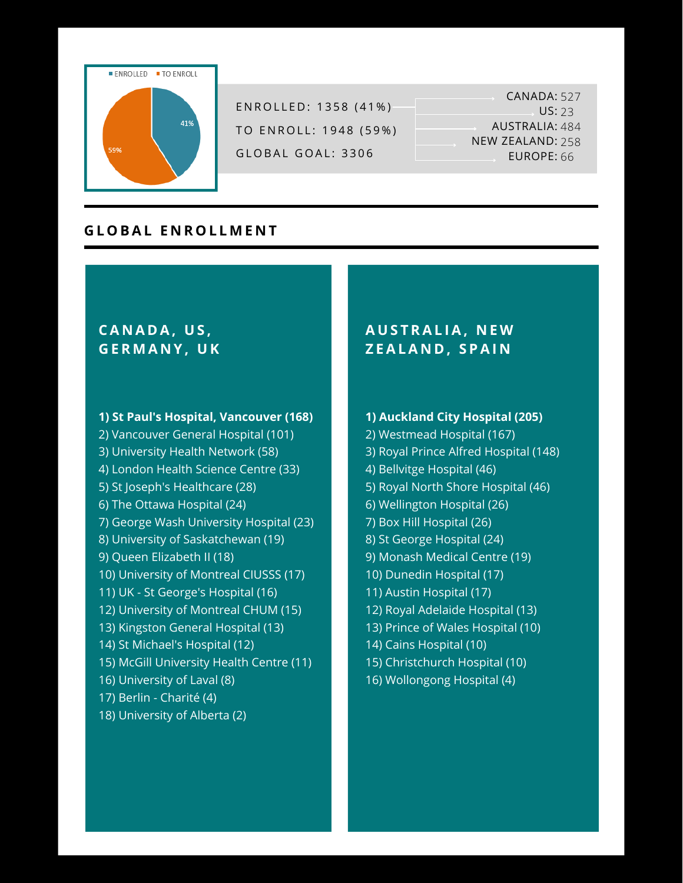

ENROLLED: 1358 (41%) TO ENROLL: 1948 (59%) GLOBAL GOAL: 3306

CANADA: 527 US: 23 AUSTRALIA: 484 NEW ZEALAND: 258 EUROPE: 66

#### **G L O BAL E N R O L L M E N T**

#### **CA N A D A, U S , G E R M A N Y , U K**

#### **1) St Paul's Hospital, Vancouver (168)**

2) Vancouver General Hospital (101) 3) University Health Network (58) 4) London Health Science Centre (33) 5) St Joseph's Healthcare (28) 6) The Ottawa Hospital (24) 7) George Wash University Hospital (23) 8) University of Saskatchewan (19) 9) Queen Elizabeth II (18) 10) University of Montreal CIUSSS (17) 11) UK - St George's Hospital (16) 12) University of Montreal CHUM (15) 13) Kingston General Hospital (13) 14) St Michael's Hospital (12) 15) McGill University Health Centre (11) 16) University of Laval (8) 17) Berlin - Charité (4) 18) University of Alberta (2)

#### **A U S T RAL IA, N E W Z EALA N D , S PAI N**

#### **1) Auckland City Hospital (205)**

- 2) Westmead Hospital (167) 3) Royal Prince Alfred Hospital (148) 4) Bellvitge Hospital (46) 5) Royal North Shore Hospital (46) 6) Wellington Hospital (26) 7) Box Hill Hospital (26)
- 8) St George Hospital (24)
- 9) Monash Medical Centre (19)
- 10) Dunedin Hospital (17)
- 11) Austin Hospital (17)
- 12) Royal Adelaide Hospital (13)
- 13) Prince of Wales Hospital (10)
- 14) Cains Hospital (10)
- 15) Christchurch Hospital (10)
- 16) Wollongong Hospital (4)